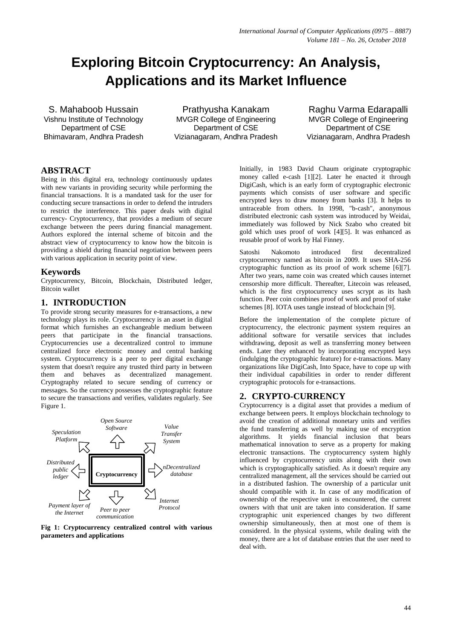# **Exploring Bitcoin Cryptocurrency: An Analysis, Applications and its Market Influence**

S. Mahaboob Hussain Vishnu Institute of Technology Department of CSE Bhimavaram, Andhra Pradesh

Prathyusha Kanakam MVGR College of Engineering Department of CSE Vizianagaram, Andhra Pradesh

Raghu Varma Edarapalli MVGR College of Engineering Department of CSE Vizianagaram, Andhra Pradesh

# **ABSTRACT**

Being in this digital era, technology continuously updates with new variants in providing security while performing the financial transactions. It is a mandated task for the user for conducting secure transactions in order to defend the intruders to restrict the interference. This paper deals with digital currency- Cryptocurrency, that provides a medium of secure exchange between the peers during financial management. Authors explored the internal scheme of bitcoin and the abstract view of cryptocurrency to know how the bitcoin is providing a shield during financial negotiation between peers with various application in security point of view.

## **Keywords**

Cryptocurrency, Bitcoin, Blockchain, Distributed ledger, Bitcoin wallet

## **1. INTRODUCTION**

To provide strong security measures for e-transactions, a new technology plays its role. Cryptocurrency is an asset in digital format which furnishes an exchangeable medium between peers that participate in the financial transactions. Cryptocurrencies use a decentralized control to immune centralized force electronic money and central banking system. Cryptocurrency is a peer to peer digital exchange system that doesn't require any trusted third party in between them and behaves as decentralized management. Cryptography related to secure sending of currency or messages. So the currency possesses the cryptographic feature to secure the transactions and verifies, validates regularly. See Figure 1.



**Fig 1: Cryptocurrency centralized control with various parameters and applications** 

Initially, in 1983 David Chaum originate cryptographic money called e-cash [1][2]. Later he enacted it through DigiCash, which is an early form of cryptographic electronic payments which consists of user software and specific encrypted keys to draw money from banks [3]. It helps to untraceable from others. In 1998, "b-cash", anonymous distributed electronic cash system was introduced by Weidai, immediately was followed by Nick Szabo who created bit gold which uses proof of work [4][5]. It was enhanced as reusable proof of work by Hal Finney.

Satoshi Nakomoto introduced first decentralized cryptocurrency named as bitcoin in 2009. It uses SHA-256 cryptographic function as its proof of work scheme [6][7]. After two years, name coin was created which causes internet censorship more difficult. Thereafter, Litecoin was released, which is the first cryptocurrency uses scrypt as its hash function. Peer coin combines proof of work and proof of stake schemes [8]. IOTA uses tangle instead of blockchain [9].

Before the implementation of the complete picture of cryptocurrency, the electronic payment system requires an additional software for versatile services that includes withdrawing, deposit as well as transferring money between ends. Later they enhanced by incorporating encrypted keys (indulging the cryptographic feature) for e-transactions. Many organizations like DigiCash, Into Space, have to cope up with their individual capabilities in order to render different cryptographic protocols for e-transactions.

## **2. CRYPTO-CURRENCY**

Cryptocurrency is a digital asset that provides a medium of exchange between peers. It employs blockchain technology to avoid the creation of additional monetary units and verifies the fund transferring as well by making use of encryption algorithms. It yields financial inclusion that bears mathematical innovation to serve as a property for making electronic transactions. The cryptocurrency system highly influenced by cryptocurrency units along with their own which is cryptographically satisfied. As it doesn't require any centralized management, all the services should be carried out in a distributed fashion. The ownership of a particular unit should compatible with it. In case of any modification of ownership of the respective unit is encountered, the current owners with that unit are taken into consideration. If same cryptographic unit experienced changes by two different ownership simultaneously, then at most one of them is considered. In the physical systems, while dealing with the money, there are a lot of database entries that the user need to deal with.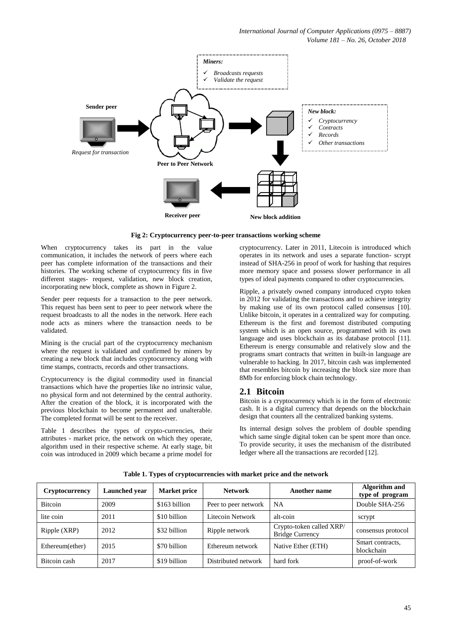

**Fig 2: Cryptocurrency peer-to-peer transactions working scheme** 

When cryptocurrency takes its part in the value communication, it includes the network of peers where each peer has complete information of the transactions and their histories. The working scheme of cryptocurrency fits in five different stages- request, validation, new block creation, incorporating new block, complete as shown in Figure 2.

Sender peer requests for a transaction to the peer network. This request has been sent to peer to peer network where the request broadcasts to all the nodes in the network. Here each node acts as miners where the transaction needs to be validated.

Mining is the crucial part of the cryptocurrency mechanism where the request is validated and confirmed by miners by creating a new block that includes cryptocurrency along with time stamps, contracts, records and other transactions.

Cryptocurrency is the digital commodity used in financial transactions which have the properties like no intrinsic value, no physical form and not determined by the central authority. After the creation of the block, it is incorporated with the previous blockchain to become permanent and unalterable. The completed format will be sent to the receiver.

Table 1 describes the types of crypto-currencies, their attributes - market price, the network on which they operate, algorithm used in their respective scheme. At early stage, bit coin was introduced in 2009 which became a prime model for cryptocurrency. Later in 2011, Litecoin is introduced which operates in its network and uses a separate function- scrypt instead of SHA-256 in proof of work for hashing that requires more memory space and possess slower performance in all types of ideal payments compared to other cryptocurrencies.

Ripple, a privately owned company introduced crypto token in 2012 for validating the transactions and to achieve integrity by making use of its own protocol called consensus [10]. Unlike bitcoin, it operates in a centralized way for computing. Ethereum is the first and foremost distributed computing system which is an open source, programmed with its own language and uses blockchain as its database protocol [11]. Ethereum is energy consumable and relatively slow and the programs smart contracts that written in built-in language are vulnerable to hacking. In 2017, bitcoin cash was implemented that resembles bitcoin by increasing the block size more than 8Mb for enforcing block chain technology.

# **2.1 Bitcoin**

Bitcoin is a cryptocurrency which is in the form of electronic cash. It is a digital currency that depends on the blockchain design that counters all the centralized banking systems.

Its internal design solves the problem of double spending which same single digital token can be spent more than once. To provide security, it uses the mechanism of the distributed ledger where all the transactions are recorded [12].

| <b>Cryptocurrency</b> | Launched year | <b>Market price</b> | <b>Network</b>       | Another name                                       | <b>Algorithm</b> and<br>type of program |
|-----------------------|---------------|---------------------|----------------------|----------------------------------------------------|-----------------------------------------|
| <b>Bitcoin</b>        | 2009          | \$163 billion       | Peer to peer network | NA                                                 | Double SHA-256                          |
| lite coin             | 2011          | \$10 billion        | Litecoin Network     | alt-coin                                           | scrypt                                  |
| Ripple (XRP)          | 2012          | \$32 billion        | Ripple network       | Crypto-token called XRP/<br><b>Bridge Currency</b> | consensus protocol                      |
| Ethereum(ether)       | 2015          | \$70 billion        | Ethereum network     | Native Ether (ETH)                                 | Smart contracts,<br>blockchain          |
| Bitcoin cash          | 2017          | \$19 billion        | Distributed network  | hard fork                                          | proof-of-work                           |

**Table 1. Types of cryptocurrencies with market price and the network**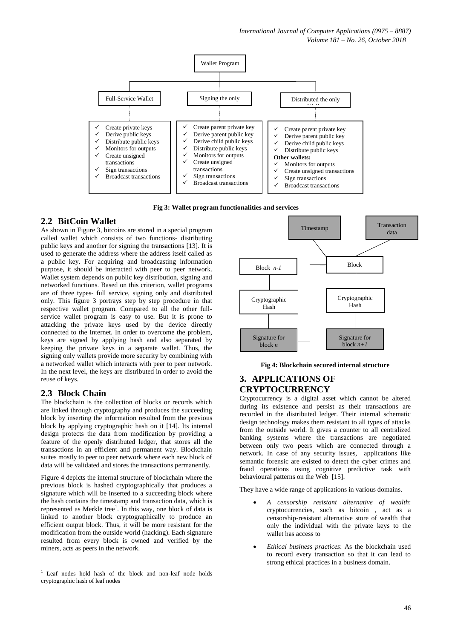

**Fig 3: Wallet program functionalities and services** 

# **2.2 BitCoin Wallet**

As shown in Figure 3, bitcoins are stored in a special program called wallet which consists of two functions- distributing public keys and another for signing the transactions [13]. It is used to generate the address where the address itself called as a public key. For acquiring and broadcasting information purpose, it should be interacted with peer to peer network. Wallet system depends on public key distribution, signing and networked functions. Based on this criterion, wallet programs are of three types- full service, signing only and distributed only. This figure 3 portrays step by step procedure in that respective wallet program. Compared to all the other fullservice wallet program is easy to use. But it is prone to attacking the private keys used by the device directly connected to the Internet. In order to overcome the problem, keys are signed by applying hash and also separated by keeping the private keys in a separate wallet. Thus, the signing only wallets provide more security by combining with a networked wallet which interacts with peer to peer network. In the next level, the keys are distributed in order to avoid the reuse of keys.

# **2.3 Block Chain**

The blockchain is the collection of blocks or records which are linked through cryptography and produces the succeeding block by inserting the information resulted from the previous block by applying cryptographic hash on it [14]. Its internal design protects the data from modification by providing a feature of the openly distributed ledger, that stores all the transactions in an efficient and permanent way. Blockchain suites mostly to peer to peer network where each new block of data will be validated and stores the transactions permanently.

Figure 4 depicts the internal structure of blockchain where the previous block is hashed cryptographically that produces a signature which will be inserted to a succeeding block where the hash contains the timestamp and transaction data, which is represented as Merkle tree<sup>1</sup>. In this way, one block of data is linked to another block cryptographically to produce an efficient output block. Thus, it will be more resistant for the modification from the outside world (hacking). Each signature resulted from every block is owned and verified by the miners, acts as peers in the network.



#### **Fig 4: Blockchain secured internal structure**

# **3. APPLICATIONS OF CRYPTOCURRENCY**

Cryptocurrency is a digital asset which cannot be altered during its existence and persist as their transactions are recorded in the distributed ledger. Their internal schematic design technology makes them resistant to all types of attacks from the outside world. It gives a counter to all centralized banking systems where the transactions are negotiated between only two peers which are connected through a network. In case of any security issues, applications like semantic forensic are existed to detect the cyber crimes and fraud operations using cognitive predictive task with behavioural patterns on the Web [15].

They have a wide range of applications in various domains.

- *A censorship resistant alternative of wealth*: cryptocurrencies, such as bitcoin , act as a censorship-resistant alternative store of wealth that only the individual with the private keys to the wallet has access to
- *Ethical business practices*: As the blockchain used to record every transaction so that it can lead to strong ethical practices in a business domain.

**<sup>.</sup>** 1 Leaf nodes hold hash of the block and non-leaf node holds cryptographic hash of leaf nodes